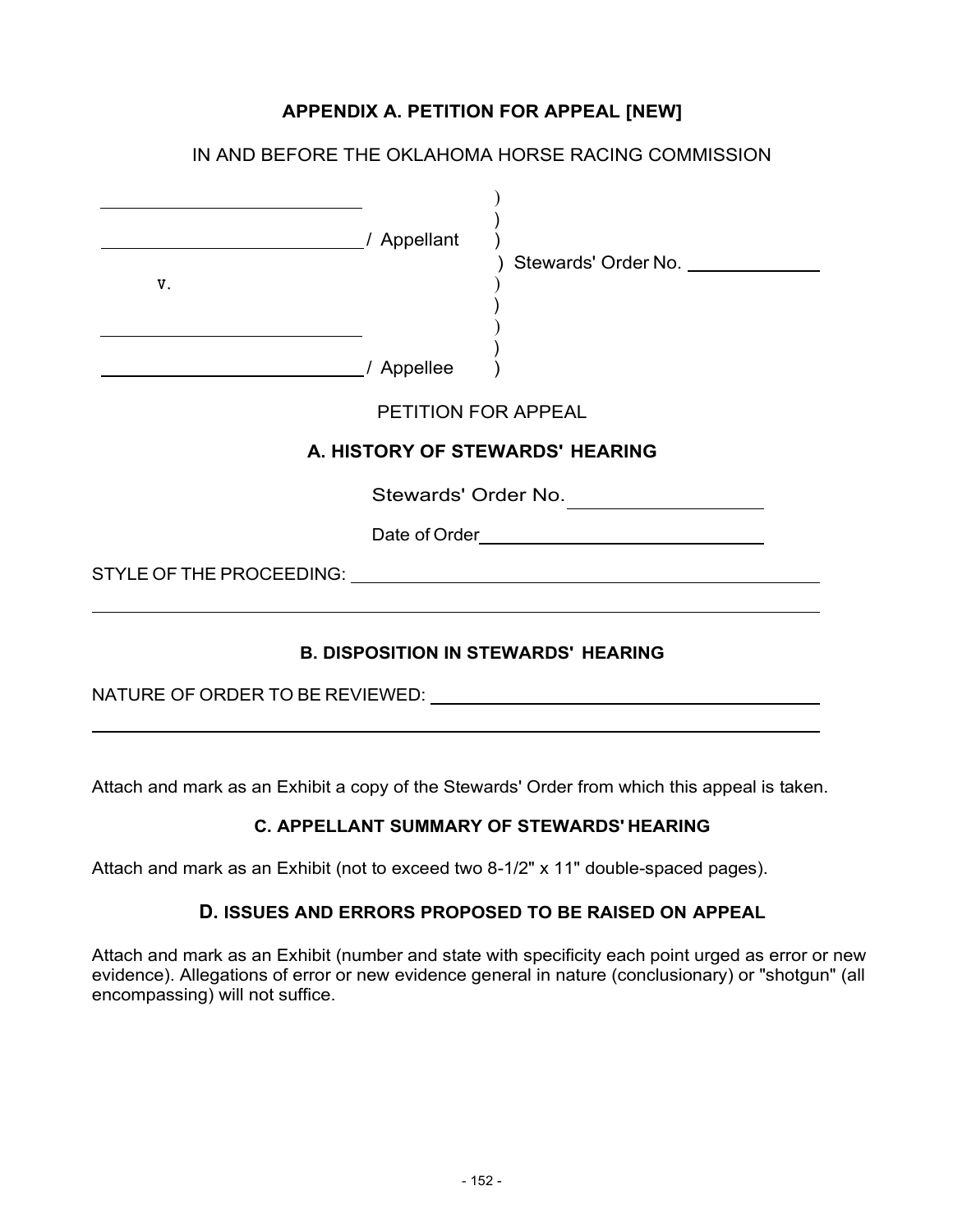## **APPENDIX A. PETITION FOR APPEAL [NEW]**

|                                                                                                                                           |                     | IN AND BEFORE THE OKLAHOMA HORSE RACING COMMISSION |
|-------------------------------------------------------------------------------------------------------------------------------------------|---------------------|----------------------------------------------------|
| <u> 1980 - Johann Barn, amerikan besteman besteman besteman besteman besteman besteman besteman besteman bestema</u><br>/ Appellant<br>V. |                     | Stewards' Order No. _____________                  |
|                                                                                                                                           | / Appellee          |                                                    |
|                                                                                                                                           | PETITION FOR APPEAL |                                                    |
|                                                                                                                                           |                     | A. HISTORY OF STEWARDS' HEARING                    |
|                                                                                                                                           | Stewards' Order No. |                                                    |
|                                                                                                                                           |                     | Date of Order experience and the contract of Order |
|                                                                                                                                           |                     |                                                    |
|                                                                                                                                           |                     | <b>B. DISPOSITION IN STEWARDS' HEARING</b>         |

NATURE OF ORDER TO BE REVIEWED:  $\overline{\phantom{a}}$ 

Attach and mark as an Exhibit a copy of the Stewards' Order from which this appeal is taken.

## **C. APPELLANT SUMMARY OF STEWARDS' HEARING**

Attach and mark as an Exhibit (not to exceed two 8-1/2" x 11" double-spaced pages).

## **D. ISSUES AND ERRORS PROPOSED TO BE RAISED ON APPEAL**

Attach and mark as an Exhibit (number and state with specificity each point urged as error or new evidence). Allegations of error or new evidence general in nature (conclusionary) or "shotgun" (all encompassing) will not suffice.